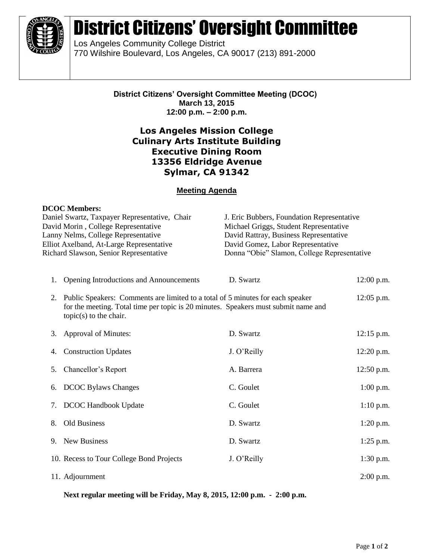

# District Citizens' Oversight Committee

Los Angeles Community College District 770 Wilshire Boulevard, Los Angeles, CA 90017 (213) 891-2000

> **District Citizens' Oversight Committee Meeting (DCOC) March 13, 2015 12:00 p.m. – 2:00 p.m.**

## **Los Angeles Mission College Culinary Arts Institute Building Executive Dining Room 13356 Eldridge Avenue Sylmar, CA 91342**

### **Meeting Agenda**

#### **DCOC Members:**

| Daniel Swartz, Taxpayer Representative, Chair<br>David Morin, College Representative<br>Lanny Nelms, College Representative<br>Elliot Axelband, At-Large Representative<br>Richard Slawson, Senior Representative |                                                                                                                                                                                                                   | J. Eric Bubbers, Foundation Representative<br>Michael Griggs, Student Representative<br>David Rattray, Business Representative<br>David Gomez, Labor Representative<br>Donna "Obie" Slamon, College Representative |              |
|-------------------------------------------------------------------------------------------------------------------------------------------------------------------------------------------------------------------|-------------------------------------------------------------------------------------------------------------------------------------------------------------------------------------------------------------------|--------------------------------------------------------------------------------------------------------------------------------------------------------------------------------------------------------------------|--------------|
| 1.                                                                                                                                                                                                                | Opening Introductions and Announcements                                                                                                                                                                           | D. Swartz                                                                                                                                                                                                          | $12:00$ p.m. |
|                                                                                                                                                                                                                   | 2. Public Speakers: Comments are limited to a total of 5 minutes for each speaker<br>12:05 p.m.<br>for the meeting. Total time per topic is 20 minutes. Speakers must submit name and<br>$topic(s)$ to the chair. |                                                                                                                                                                                                                    |              |
| 3.                                                                                                                                                                                                                | Approval of Minutes:                                                                                                                                                                                              | D. Swartz                                                                                                                                                                                                          | $12:15$ p.m. |
| 4.                                                                                                                                                                                                                | <b>Construction Updates</b>                                                                                                                                                                                       | J. O'Reilly                                                                                                                                                                                                        | 12:20 p.m.   |
| 5.                                                                                                                                                                                                                | Chancellor's Report                                                                                                                                                                                               | A. Barrera                                                                                                                                                                                                         | 12:50 p.m.   |
| 6.                                                                                                                                                                                                                | <b>DCOC Bylaws Changes</b>                                                                                                                                                                                        | C. Goulet                                                                                                                                                                                                          | $1:00$ p.m.  |
| 7.                                                                                                                                                                                                                | <b>DCOC Handbook Update</b>                                                                                                                                                                                       | C. Goulet                                                                                                                                                                                                          | $1:10$ p.m.  |
| 8.                                                                                                                                                                                                                | Old Business                                                                                                                                                                                                      | D. Swartz                                                                                                                                                                                                          | $1:20$ p.m.  |
| 9.                                                                                                                                                                                                                | <b>New Business</b>                                                                                                                                                                                               | D. Swartz                                                                                                                                                                                                          | $1:25$ p.m.  |
|                                                                                                                                                                                                                   | 10. Recess to Tour College Bond Projects                                                                                                                                                                          | J. O'Reilly                                                                                                                                                                                                        | 1:30 p.m.    |
|                                                                                                                                                                                                                   | 11. Adjournment                                                                                                                                                                                                   |                                                                                                                                                                                                                    | $2:00$ p.m.  |

**Next regular meeting will be Friday, May 8, 2015, 12:00 p.m. - 2:00 p.m.**